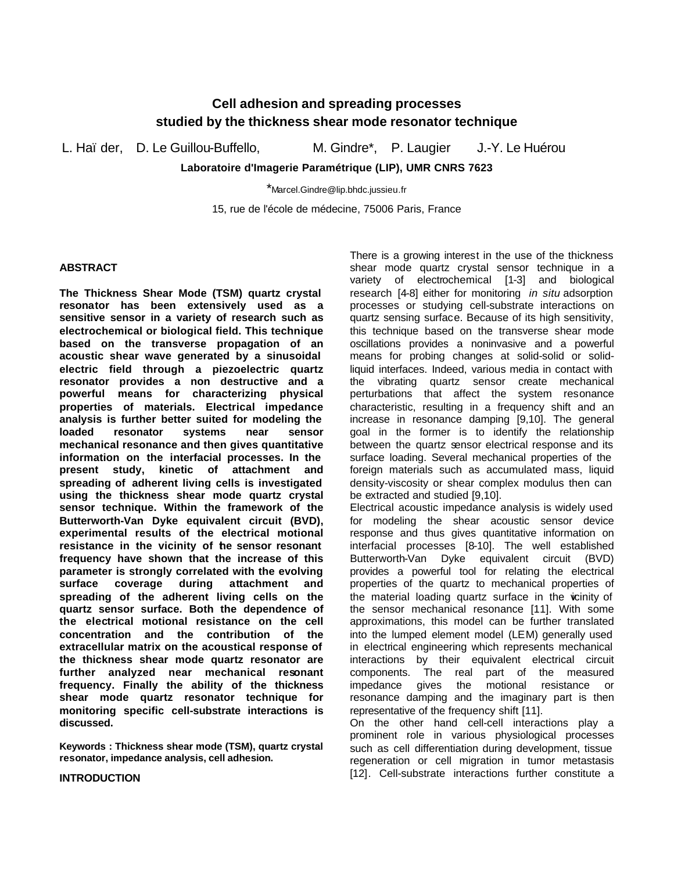# **Cell adhesion and spreading processes studied by the thickness shear mode resonator technique**

L. Haïder, D. Le Guillou-Buffello, M. Gindre<sup>\*</sup>, P. Laugier J.-Y. Le Huérou

**Laboratoire d'Imagerie Paramétrique (LIP), UMR CNRS 7623**

\*Marcel.Gindre@lip.bhdc.jussieu.fr

15, rue de l'école de médecine, 75006 Paris, France

## **ABSTRACT**

**The Thickness Shear Mode (TSM) quartz crystal resonator has been extensively used as a sensitive sensor in a variety of research such as electrochemical or biological field. This technique based on the transverse propagation of an acoustic shear wave generated by a sinusoidal electric field through a piezoelectric quartz resonator provides a non destructive and a powerful means for characterizing physical properties of materials. Electrical impedance analysis is further better suited for modeling the loaded resonator systems near sensor mechanical resonance and then gives quantitative information on the interfacial processes. In the present study, kinetic of attachment and spreading of adherent living cells is investigated using the thickness shear mode quartz crystal sensor technique. Within the framework of the Butterworth-Van Dyke equivalent circuit (BVD), experimental results of the electrical motional resistance in the vicinity of the sensor resonant frequency have shown that the increase of this parameter is strongly correlated with the evolving surface coverage during attachment and spreading of the adherent living cells on the quartz sensor surface. Both the dependence of the electrical motional resistance on the cell concentration and the contribution of the extracellular matrix on the acoustical response of the thickness shear mode quartz resonator are further analyzed near mechanical resonant frequency. Finally the ability of the thickness shear mode quartz resonator technique for monitoring specific cell-substrate interactions is discussed.**

**Keywords : Thickness shear mode (TSM), quartz crystal resonator, impedance analysis, cell adhesion.** 

# There is a growing interest in the use of the thickness shear mode quartz crystal sensor technique in a variety of electrochemical [1-3] and biological research [4-8] either for monitoring *in situ* adsorption processes or studying cell-substrate interactions on quartz sensing surface. Because of its high sensitivity, this technique based on the transverse shear mode oscillations provides a noninvasive and a powerful means for probing changes at solid-solid or solidliquid interfaces. Indeed, various media in contact with the vibrating quartz sensor create mechanical perturbations that affect the system resonance characteristic, resulting in a frequency shift and an increase in resonance damping [9,10]. The general goal in the former is to identify the relationship between the quartz sensor electrical response and its surface loading. Several mechanical properties of the foreign materials such as accumulated mass, liquid density-viscosity or shear complex modulus then can be extracted and studied [9,10].

Electrical acoustic impedance analysis is widely used for modeling the shear acoustic sensor device response and thus gives quantitative information on interfacial processes [8-10]. The well established Butterworth-Van Dyke equivalent circuit (BVD) provides a powerful tool for relating the electrical properties of the quartz to mechanical properties of the material loading quartz surface in the vicinity of the sensor mechanical resonance [11]. With some approximations, this model can be further translated into the lumped element model (LEM) generally used in electrical engineering which represents mechanical interactions by their equivalent electrical circuit components. The real part of the measured impedance gives the motional resistance or resonance damping and the imaginary part is then representative of the frequency shift [11].

On the other hand cell-cell interactions play a prominent role in various physiological processes such as cell differentiation during development, tissue regeneration or cell migration in tumor metastasis [12]. Cell-substrate interactions further constitute a

#### **INTRODUCTION**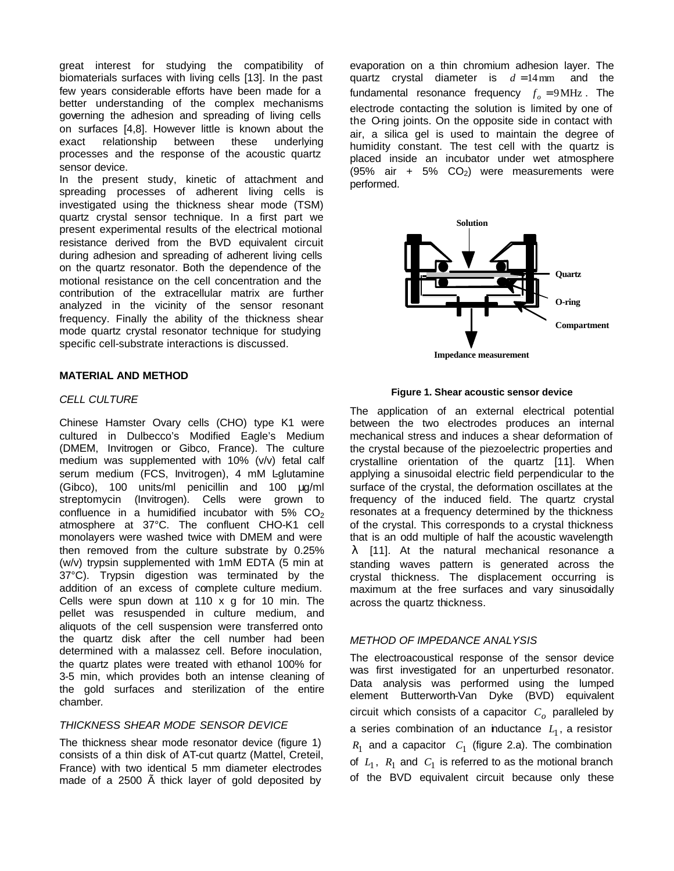great interest for studying the compatibility of biomaterials surfaces with living cells [13]. In the past few years considerable efforts have been made for a better understanding of the complex mechanisms governing the adhesion and spreading of living cells on surfaces [4,8]. However little is known about the exact relationship between these underlying processes and the response of the acoustic quartz sensor device.

In the present study, kinetic of attachment and spreading processes of adherent living cells is investigated using the thickness shear mode (TSM) quartz crystal sensor technique. In a first part we present experimental results of the electrical motional resistance derived from the BVD equivalent circuit during adhesion and spreading of adherent living cells on the quartz resonator. Both the dependence of the motional resistance on the cell concentration and the contribution of the extracellular matrix are further analyzed in the vicinity of the sensor resonant frequency. Finally the ability of the thickness shear mode quartz crystal resonator technique for studying specific cell-substrate interactions is discussed.

### **MATERIAL AND METHOD**

### *CELL CULTURE*

Chinese Hamster Ovary cells (CHO) type K1 were cultured in Dulbecco's Modified Eagle's Medium (DMEM, Invitrogen or Gibco, France). The culture medium was supplemented with 10% (v/v) fetal calf serum medium (FCS, Invitrogen), 4 mM L-glutamine (Gibco), 100 units/ml penicillin and 100 μg/ml streptomycin (Invitrogen). Cells were grown to confluence in a humidified incubator with  $5\%$  CO<sub>2</sub> atmosphere at 37°C. The confluent CHO-K1 cell monolayers were washed twice with DMEM and were then removed from the culture substrate by 0.25% (w/v) trypsin supplemented with 1mM EDTA (5 min at 37°C). Trypsin digestion was terminated by the addition of an excess of complete culture medium. Cells were spun down at 110 x g for 10 min. The pellet was resuspended in culture medium, and aliquots of the cell suspension were transferred onto the quartz disk after the cell number had been determined with a malassez cell. Before inoculation, the quartz plates were treated with ethanol 100% for 3-5 min, which provides both an intense cleaning of the gold surfaces and sterilization of the entire chamber*.*

## *THICKNESS SHEAR MODE SENSOR DEVICE*

The thickness shear mode resonator device (figure 1) consists of a thin disk of AT-cut quartz (Mattel, Creteil, France) with two identical 5 mm diameter electrodes made of a 2500 Ã thick layer of gold deposited by

evaporation on a thin chromium adhesion layer. The quartz crystal diameter is  $d = 14$  mm and the fundamental resonance frequency  $f_o = 9 \text{ MHz}$ . The electrode contacting the solution is limited by one of the Oring joints. On the opposite side in contact with air, a silica gel is used to maintain the degree of humidity constant. The test cell with the quartz is placed inside an incubator under wet atmosphere (95% air + 5%  $CO<sub>2</sub>$ ) were measurements were performed.



**Figure 1. Shear acoustic sensor device**

The application of an external electrical potential between the two electrodes produces an internal mechanical stress and induces a shear deformation of the crystal because of the piezoelectric properties and crystalline orientation of the quartz [11]. When applying a sinusoidal electric field perpendicular to the surface of the crystal, the deformation oscillates at the frequency of the induced field. The quartz crystal resonates at a frequency determined by the thickness of the crystal. This corresponds to a crystal thickness that is an odd multiple of half the acoustic wavelength *l* [11]. At the natural mechanical resonance a standing waves pattern is generated across the crystal thickness. The displacement occurring is maximum at the free surfaces and vary sinusoidally across the quartz thickness.

## *METHOD OF IMPEDANCE ANALYSIS*

The electroacoustical response of the sensor device was first investigated for an unperturbed resonator. Data analysis was performed using the lumped element Butterworth-Van Dyke (BVD) equivalent circuit which consists of a capacitor *C<sup>o</sup>* paralleled by a series combination of an inductance  $L_1$ , a resistor  $R_1$  and a capacitor  $C_1$  (figure 2.a). The combination of  $L_1$ ,  $R_1$  and  $C_1$  is referred to as the motional branch of the BVD equivalent circuit because only these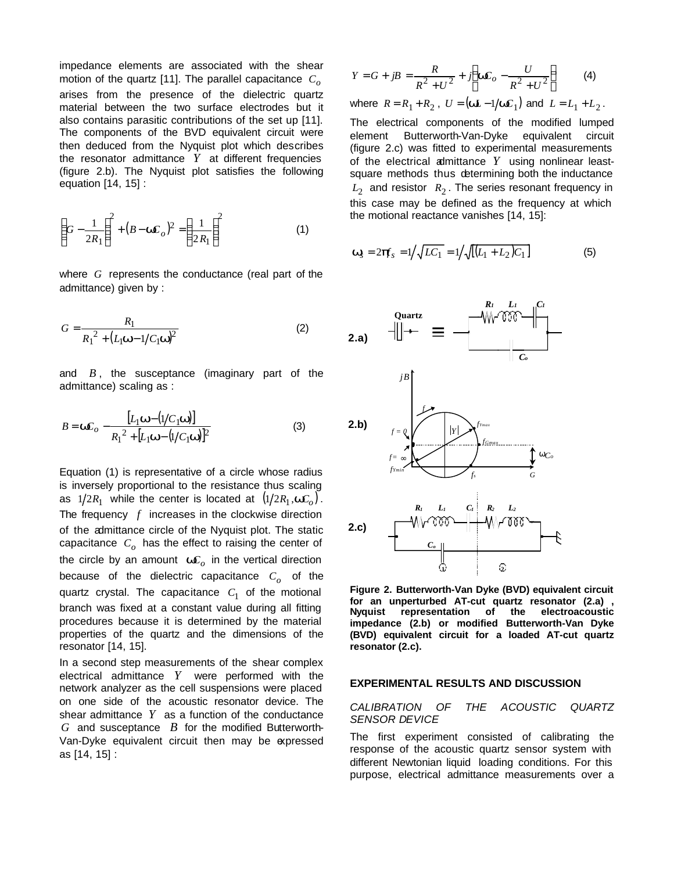impedance elements are associated with the shear motion of the quartz [11]. The parallel capacitance *C<sup>o</sup>* arises from the presence of the dielectric quartz material between the two surface electrodes but it also contains parasitic contributions of the set up [11]. The components of the BVD equivalent circuit were then deduced from the Nyquist plot which describes the resonator admittance *Y* at different frequencies (figure 2.b). The Nyquist plot satisfies the following equation [14, 15] :

$$
\left(G - \frac{1}{2R_1}\right)^2 + (B - \mathbf{w}C_o)^2 = \left(\frac{1}{2R_1}\right)^2\tag{1}
$$

where *G* represents the conductance (real part of the admittance) given by :

$$
G = \frac{R_1}{R_1^2 + (L_1 \mathbf{w} - 1/C_1 \mathbf{w})^2}
$$
 (2)

and *B* , the susceptance (imaginary part of the admittance) scaling as :

$$
B = \mathbf{w}C_o - \frac{[L_1 \mathbf{w} - (1/C_1 \mathbf{w})]}{R_1^2 + [L_1 \mathbf{w} - (1/C_1 \mathbf{w})]^2}
$$
(3)

Equation (1) is representative of a circle whose radius is inversely proportional to the resistance thus scaling as  $1/2R_1$  while the center is located at  $(1/2R_1, \mathbf{w}C_o)$ . The frequency *f* increases in the clockwise direction of the admittance circle of the Nyquist plot. The static capacitance *C<sup>o</sup>* has the effect to raising the center of the circle by an amount *wC<sup>o</sup>* in the vertical direction because of the dielectric capacitance *C<sup>o</sup>* of the quartz crystal. The capacitance  $C_1$  of the motional branch was fixed at a constant value during all fitting procedures because it is determined by the material properties of the quartz and the dimensions of the resonator [14, 15].

In a second step measurements of the shear complex electrical admittance *Y* were performed with the network analyzer as the cell suspensions were placed on one side of the acoustic resonator device. The shear admittance  $Y$  as a function of the conductance *G* and susceptance *B* for the modified Butterworth-Van-Dyke equivalent circuit then may be expressed as [14, 15] :

$$
Y = G + jB = \frac{R}{R^2 + U^2} + j\left(\mathbf{w}C_o - \frac{U}{R^2 + U^2}\right) \tag{4}
$$

where 
$$
R = R_1 + R_2
$$
,  $U = (\mathbf{w}L - 1/\mathbf{w}C_1)$  and  $L = L_1 + L_2$ .

The electrical components of the modified lumped element Butterworth-Van-Dyke equivalent circuit (figure 2.c) was fitted to experimental measurements of the electrical admittance *Y* using nonlinear leastsquare methods thus determining both the inductance  $L_2$  and resistor  $R_2$ . The series resonant frequency in this case may be defined as the frequency at which the motional reactance vanishes [14, 15]:

$$
\mathbf{W}_s = 2\mathbf{p} \mathbf{f}_s = 1/\sqrt{LC_1} = 1/\sqrt{[(L_1 + L_2)C_1]}
$$
(5)



**Figure 2. Butterworth-Van Dyke (BVD) equivalent circuit for an unperturbed AT-cut quartz resonator (2.a) , Nyquist representation of the electroacoustic impedance (2.b) or modified Butterworth-Van Dyke (BVD) equivalent circuit for a loaded AT-cut quartz resonator (2.c).**

#### **EXPERIMENTAL RESULTS AND DISCUSSION**

## *CALIBRATION OF THE ACOUSTIC QUARTZ SENSOR DEVICE*

The first experiment consisted of calibrating the response of the acoustic quartz sensor system with different Newtonian liquid loading conditions. For this purpose, electrical admittance measurements over a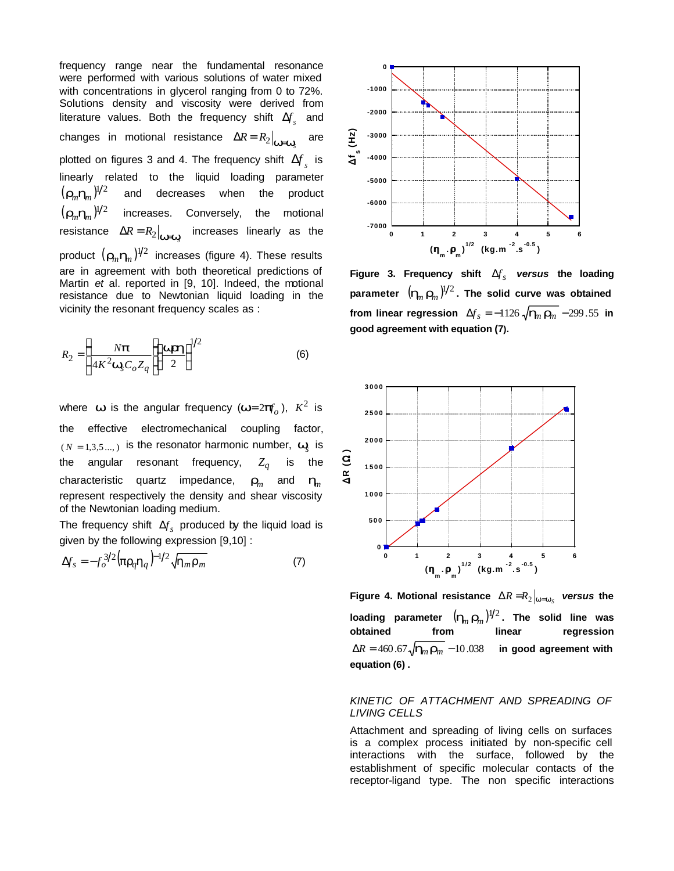frequency range near the fundamental resonance were performed with various solutions of water mixed with concentrations in glycerol ranging from 0 to 72%. Solutions density and viscosity were derived from literature values. Both the frequency shift  $\Delta f_{s}^{\prime}$  and changes in motional resistance  $\Delta R = R_2\big|_{\bm{W}=\bm{W}_{\!S}}$  are plotted on figures 3 and 4. The frequency shift  $\Delta f_{s}^{\dagger}$  is linearly related to the liquid loading parameter  $(\mathbf{r}_m \mathbf{h}_m)^{1/2}$  and decreases when the product  $(\mathbf{r}_m \mathbf{h}_m)^{1/2}$  increases. Conversely, the motional resistance  $\Delta R = R_2\big|_{\bm{W}=\bm{W}_\text{S}}$  increases linearly as the product  $(\bm{r}_m\bm{h}_m)^{1/2}$  increases (figure 4). These results are in agreement with both theoretical predictions of Martin *et* al. reported in [9, 10]. Indeed, the motional resistance due to Newtonian liquid loading in the vicinity the resonant frequency scales as :

$$
R_2 = \left(\frac{N\boldsymbol{p}}{4K^2\boldsymbol{w}_s C_o Z_q}\right)\frac{\boldsymbol{w}\boldsymbol{z}\boldsymbol{h}}{2}\right)^{1/2}
$$
 (6)

where *w* is the angular frequency ( $w=2p f$ ),  $K^2$  is the effective electromechanical coupling factor,  $(N = 1,3,5...$ ) is the resonator harmonic number,  $W_s$  is the angular resonant frequency, *Z<sup>q</sup>* is the characteristic quartz impedance,  $\mathbf{r}_m$  and  $\mathbf{h}_m$ represent respectively the density and shear viscosity of the Newtonian loading medium.

The frequency shift  $\Delta f_s$  produced by the liquid load is given by the following expression [9,10] :

$$
\Delta f_s = -f_o^{3/2} \left( \mathbf{p} \mathbf{r}_q \mathbf{h}_q \right)^{-1/2} \sqrt{\mathbf{h}_m \mathbf{r}_m} \tag{7}
$$



Figure 3. Frequency shift  $\Delta f_{s}$  versus the loading parameter  $\ (\boldsymbol{h}_{\!m} \, \boldsymbol{r}_{\!m}^{})^{1\!}/^2$  . The solid curve was obtained from linear regression  $\Delta f_s = -1126 \sqrt{\mathbf{h}_n \mathbf{r}_m^2} - 299.55$  in **good agreement with equation (7).** 



Figure 4. Motional resistance  $\left.\Delta R\right. =\right.^{}R_2\left|_{\scriptstyle W=W_S}\right.$  *versus* the loading parameter  $(\bm{h}_{\!n}\,\bm{r}_{\!m}\!^{})^{1\!}/_{\!}^2$ . The solid line was **obtained from linear regression**  $\Delta R = 460.67 \sqrt{\mathbf{h}_m \mathbf{r}_m} - 10.038$  in good agreement with **equation (6) .**

## *KINETIC OF ATTACHMENT AND SPREADING OF LIVING CELLS*

Attachment and spreading of living cells on surfaces is a complex process initiated by non-specific cell interactions with the surface, followed by the establishment of specific molecular contacts of the receptor-ligand type. The non specific interactions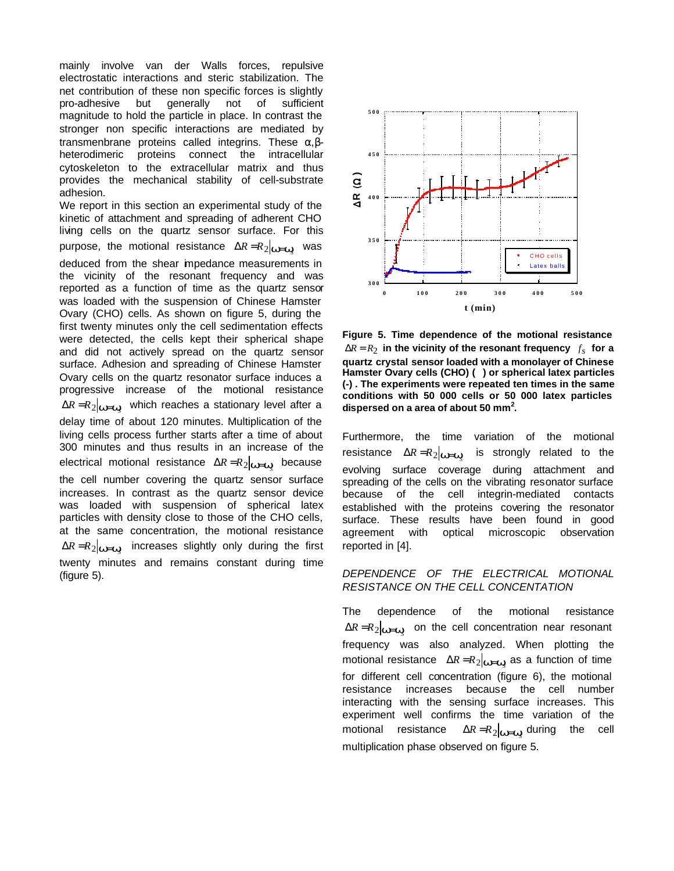mainly involve van der Walls forces, repulsive electrostatic interactions and steric stabilization. The net contribution of these non specific forces is slightly pro-adhesive but generally not of sufficient magnitude to hold the particle in place. In contrast the stronger non specific interactions are mediated by transmenbrane proteins called integrins. These α,βheterodimeric proteins connect the intracellular cytoskeleton to the extracellular matrix and thus provides the mechanical stability of cell-substrate adhesion.

We report in this section an experimental study of the kinetic of attachment and spreading of adherent CHO living cells on the quartz sensor surface. For this purpose, the motional resistance  $\Delta R = R_2 \vert_{\bm{W}=\bm{W}_{\!S}^{c}}$  was deduced from the shear impedance measurements in the vicinity of the resonant frequency and was reported as a function of time as the quartz sensor was loaded with the suspension of Chinese Hamster Ovary (CHO) cells. As shown on figure 5, during the first twenty minutes only the cell sedimentation effects were detected, the cells kept their spherical shape and did not actively spread on the quartz sensor surface. Adhesion and spreading of Chinese Hamster Ovary cells on the quartz resonator surface induces a progressive increase of the motional resistance  $\Delta R$  = $R$ <sub>2</sub> *w*=*w* which reaches a stationary level after a delay time of about 120 minutes. Multiplication of the living cells process further starts after a time of about 300 minutes and thus results in an increase of the electrical motional resistance  $\Delta R = R_2 \vert_{\bm{W}=\bm{W}_{\!S}^{c}}$  because the cell number covering the quartz sensor surface increases. In contrast as the quartz sensor device was loaded with suspension of spherical latex particles with density close to those of the CHO cells, at the same concentration, the motional resistance  $\Delta R = R_2 \vert_{\bm{W}=\bm{W}_{\!S}^{c}}$  increases slightly only during the first twenty minutes and remains constant during time (figure 5).



**Figure 5. Time dependence of the motional resistance**   $\Delta R = R_2$  in the vicinity of the resonant frequency  $f_s$  for a **quartz crystal sensor loaded with a monolayer of Chinese Hamster Ovary cells (CHO) () or spherical latex particles (-) . The experiments were repeated ten times in the same conditions with 50 000 cells or 50 000 latex particles dispersed on a area of about 50 mm<sup>2</sup> .** 

Furthermore, the time variation of the motional resistance  $\Delta R = R_2|_{\bm{W}=\bm{W}_{\!S}^c}$  $\overline{a}$  is strongly related to the evolving surface coverage during attachment and spreading of the cells on the vibrating resonator surface because of the cell integrin-mediated contacts established with the proteins covering the resonator surface. These results have been found in good agreement with optical microscopic observation reported in [4].

# *DEPENDENCE OF THE ELECTRICAL MOTIONAL RESISTANCE ON THE CELL CONCENTATION*

The dependence of the motional resistance  $\Delta R = R_2 \vert_{\bm{W} = \bm{W}_S}$  on the cell concentration near resonant frequency was also analyzed. When plotting the motional resistance  $\Delta R = R_2|_{\mathbf{W}=\mathbf{W}_S}$  as a function of time for different cell concentration (figure 6), the motional resistance increases because the cell number interacting with the sensing surface increases. This experiment well confirms the time variation of the motional resistance  $\Delta R = R_2 \vert_{\bm{W}=\bm{W}_{\!\! S}}$  during the cell multiplication phase observed on figure 5.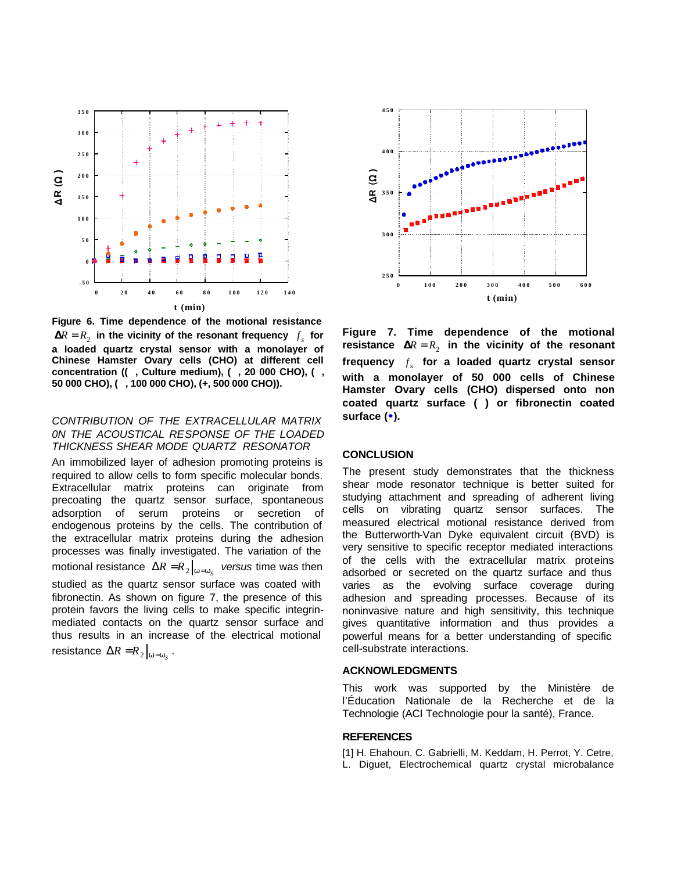

**Figure 6. Time dependence of the motional resistance**   $\mathbf{R} = R_2$  in the vicinity of the resonant frequency  $f_s$  for **a loaded quartz crystal sensor with a monolayer of Chinese Hamster Ovary cells (CHO) at different cell concentration ((, Culture medium), (, 20 000 CHO), (, 50 000 CHO), (, 100 000 CHO), (+, 500 000 CHO)).**

### *CONTRIBUTION OF THE EXTRACELLULAR MATRIX 0N THE ACOUSTICAL RESPONSE OF THE LOADED THICKNESS SHEAR MODE QUARTZ RESONATOR*

An immobilized layer of adhesion promoting proteins is required to allow cells to form specific molecular bonds. Extracellular matrix proteins can originate from precoating the quartz sensor surface, spontaneous adsorption of serum proteins or secretion of endogenous proteins by the cells. The contribution of the extracellular matrix proteins during the adhesion processes was finally investigated. The variation of the motional resistance  $\Delta R = R_2 \big|_{\bm{w}=\bm{w}_S}$  *versus* time was then studied as the quartz sensor surface was coated with fibronectin. As shown on figure 7, the presence of this protein favors the living cells to make specific integrinmediated contacts on the quartz sensor surface and thus results in an increase of the electrical motional resistance  $\Delta R = R_2 \vert_{w = w_S}$ .



**Figure 7. Time dependence of the motional**  $\textbf{r}$ esistance  $\textbf{R}$  =  $R^2$  in the vicinity of the resonant **frequency**  *s f* **for a loaded quartz crystal sensor with a monolayer of 50 000 cells of Chinese Hamster Ovary cells (CHO) dispersed onto non coated quartz surface ( ) or fibronectin coated surface (··).** 

#### **CONCLUSION**

The present study demonstrates that the thickness shear mode resonator technique is better suited for studying attachment and spreading of adherent living cells on vibrating quartz sensor surfaces. The measured electrical motional resistance derived from the Butterworth-Van Dyke equivalent circuit (BVD) is very sensitive to specific receptor mediated interactions of the cells with the extracellular matrix proteins adsorbed or secreted on the quartz surface and thus varies as the evolving surface coverage during adhesion and spreading processes. Because of its noninvasive nature and high sensitivity, this technique gives quantitative information and thus provides a powerful means for a better understanding of specific cell-substrate interactions.

#### **ACKNOWLEDGMENTS**

This work was supported by the Ministère de l'Éducation Nationale de la Recherche et de la Technologie (ACI Technologie pour la santé), France.

#### **REFERENCES**

[1] H. Ehahoun, C. Gabrielli, M. Keddam, H. Perrot, Y. Cetre, L. Diguet, Electrochemical quartz crystal microbalance